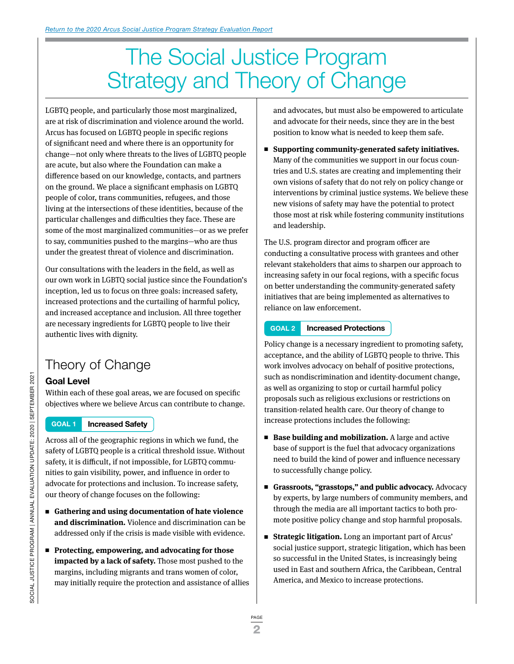# The Social Justice Program Strategy and Theory of Change

LGBTQ people, and particularly those most marginalized, are at risk of discrimination and violence around the world. Arcus has focused on LGBTQ people in specific regions of significant need and where there is an opportunity for change—not only where threats to the lives of LGBTQ people are acute, but also where the Foundation can make a difference based on our knowledge, contacts, and partners on the ground. We place a significant emphasis on LGBTQ people of color, trans communities, refugees, and those living at the intersections of these identities, because of the particular challenges and difficulties they face. These are some of the most marginalized communities—or as we prefer to say, communities pushed to the margins—who are thus under the greatest threat of violence and discrimination.

Our consultations with the leaders in the field, as well as our own work in LGBTQ social justice since the Foundation's inception, led us to focus on three goals: increased safety, increased protections and the curtailing of harmful policy, and increased acceptance and inclusion. All three together are necessary ingredients for LGBTQ people to live their authentic lives with dignity.

## Theory of Change

#### **Goal Level**

Within each of these goal areas, we are focused on specific objectives where we believe Arcus can contribute to change.

#### **GOAL 1 Increased Safety**

Across all of the geographic regions in which we fund, the safety of LGBTQ people is a critical threshold issue. Without safety, it is difficult, if not impossible, for LGBTQ communities to gain visibility, power, and influence in order to advocate for protections and inclusion. To increase safety, our theory of change focuses on the following:

- Gathering and using documentation of hate violence **and discrimination.** Violence and discrimination can be addressed only if the crisis is made visible with evidence.
- <sup>n</sup> **Protecting, empowering, and advocating for those impacted by a lack of safety.** Those most pushed to the margins, including migrants and trans women of color, may initially require the protection and assistance of allies

and advocates, but must also be empowered to articulate and advocate for their needs, since they are in the best position to know what is needed to keep them safe.

■ Supporting community-generated safety initiatives. Many of the communities we support in our focus countries and U.S. states are creating and implementing their own visions of safety that do not rely on policy change or interventions by criminal justice systems. We believe these new visions of safety may have the potential to protect those most at risk while fostering community institutions and leadership.

The U.S. program director and program officer are conducting a consultative process with grantees and other relevant stakeholders that aims to sharpen our approach to increasing safety in our focal regions, with a specific focus on better understanding the community-generated safety initiatives that are being implemented as alternatives to reliance on law enforcement.

#### **GOAL 2 Increased Protections**

Policy change is a necessary ingredient to promoting safety, acceptance, and the ability of LGBTQ people to thrive. This work involves advocacy on behalf of positive protections, such as nondiscrimination and identity-document change, as well as organizing to stop or curtail harmful policy proposals such as religious exclusions or restrictions on transition-related health care. Our theory of change to increase protections includes the following:

- Base building and mobilization. A large and active base of support is the fuel that advocacy organizations need to build the kind of power and influence necessary to successfully change policy.
- Grassroots, "grasstops," and public advocacy. Advocacy by experts, by large numbers of community members, and through the media are all important tactics to both promote positive policy change and stop harmful proposals.
- **Strategic litigation.** Long an important part of Arcus' social justice support, strategic litigation, which has been so successful in the United States, is increasingly being used in East and southern Africa, the Caribbean, Central America, and Mexico to increase protections.

PAGE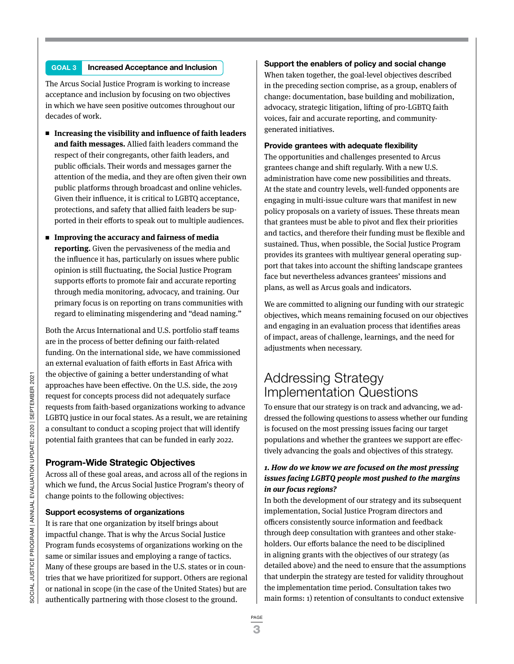#### **GOAL 3 Increased Acceptance and Inclusion**

The Arcus Social Justice Program is working to increase acceptance and inclusion by focusing on two objectives in which we have seen positive outcomes throughout our decades of work.

- Increasing the visibility and influence of faith leaders **and faith messages.** Allied faith leaders command the respect of their congregants, other faith leaders, and public officials. Their words and messages garner the attention of the media, and they are often given their own public platforms through broadcast and online vehicles. Given their influence, it is critical to LGBTQ acceptance, protections, and safety that allied faith leaders be supported in their efforts to speak out to multiple audiences.
- **Improving the accuracy and fairness of media reporting.** Given the pervasiveness of the media and the influence it has, particularly on issues where public opinion is still fluctuating, the Social Justice Program supports efforts to promote fair and accurate reporting through media monitoring, advocacy, and training. Our primary focus is on reporting on trans communities with regard to eliminating misgendering and "dead naming."

Both the Arcus International and U.S. portfolio staff teams are in the process of better defining our faith-related funding. On the international side, we have commissioned an external evaluation of faith efforts in East Africa with the objective of gaining a better understanding of what approaches have been effective. On the U.S. side, the 2019 request for concepts process did not adequately surface requests from faith-based organizations working to advance LGBTQ justice in our focal states. As a result, we are retaining a consultant to conduct a scoping project that will identify potential faith grantees that can be funded in early 2022.

#### **Program-Wide Strategic Objectives**

Across all of these goal areas, and across all of the regions in which we fund, the Arcus Social Justice Program's theory of change points to the following objectives:

#### **Support ecosystems of organizations**

It is rare that one organization by itself brings about impactful change. That is why the Arcus Social Justice Program funds ecosystems of organizations working on the same or similar issues and employing a range of tactics. Many of these groups are based in the U.S. states or in countries that we have prioritized for support. Others are regional or national in scope (in the case of the United States) but are authentically partnering with those closest to the ground.

#### **Support the enablers of policy and social change**

When taken together, the goal-level objectives described in the preceding section comprise, as a group, enablers of change: documentation, base building and mobilization, advocacy, strategic litigation, lifting of pro-LGBTQ faith voices, fair and accurate reporting, and communitygenerated initiatives.

#### **Provide grantees with adequate flexibility**

The opportunities and challenges presented to Arcus grantees change and shift regularly. With a new U.S. administration have come new possibilities and threats. At the state and country levels, well-funded opponents are engaging in multi-issue culture wars that manifest in new policy proposals on a variety of issues. These threats mean that grantees must be able to pivot and flex their priorities and tactics, and therefore their funding must be flexible and sustained. Thus, when possible, the Social Justice Program provides its grantees with multiyear general operating support that takes into account the shifting landscape grantees face but nevertheless advances grantees' missions and plans, as well as Arcus goals and indicators.

We are committed to aligning our funding with our strategic objectives, which means remaining focused on our objectives and engaging in an evaluation process that identifies areas of impact, areas of challenge, learnings, and the need for adjustments when necessary.

### Addressing Strategy Implementation Questions

To ensure that our strategy is on track and advancing, we addressed the following questions to assess whether our funding is focused on the most pressing issues facing our target populations and whether the grantees we support are effectively advancing the goals and objectives of this strategy.

#### **1. How do we know we are focused on the most pressing issues facing LGBTQ people most pushed to the margins in our focus regions?**

In both the development of our strategy and its subsequent implementation, Social Justice Program directors and officers consistently source information and feedback through deep consultation with grantees and other stakeholders. Our efforts balance the need to be disciplined in aligning grants with the objectives of our strategy (as detailed above) and the need to ensure that the assumptions that underpin the strategy are tested for validity throughout the implementation time period. Consultation takes two main forms: 1) retention of consultants to conduct extensive

<sup>3</sup>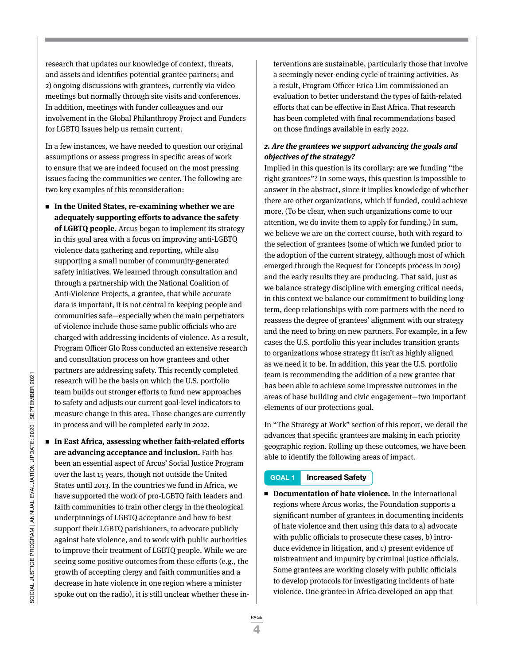research that updates our knowledge of context, threats, and assets and identifies potential grantee partners; and 2) ongoing discussions with grantees, currently via video meetings but normally through site visits and conferences. In addition, meetings with funder colleagues and our involvement in the Global Philanthropy Project and Funders for LGBTQ Issues help us remain current.

In a few instances, we have needed to question our original assumptions or assess progress in specific areas of work to ensure that we are indeed focused on the most pressing issues facing the communities we center. The following are two key examples of this reconsideration:

- In the United States, re-examining whether we are **adequately supporting efforts to advance the safety of LGBTQ people.** Arcus began to implement its strategy in this goal area with a focus on improving anti-LGBTQ violence data gathering and reporting, while also supporting a small number of community-generated safety initiatives. We learned through consultation and through a partnership with the National Coalition of Anti-Violence Projects, a grantee, that while accurate data is important, it is not central to keeping people and communities safe—especially when the main perpetrators of violence include those same public officials who are charged with addressing incidents of violence. As a result, Program Officer Glo Ross conducted an extensive research and consultation process on how grantees and other partners are addressing safety. This recently completed research will be the basis on which the U.S. portfolio team builds out stronger efforts to fund new approaches to safety and adjusts our current goal-level indicators to measure change in this area. Those changes are currently in process and will be completed early in 2022.
- In East Africa, assessing whether faith-related efforts **are advancing acceptance and inclusion.** Faith has been an essential aspect of Arcus' Social Justice Program over the last 15 years, though not outside the United States until 2013. In the countries we fund in Africa, we have supported the work of pro-LGBTQ faith leaders and faith communities to train other clergy in the theological underpinnings of LGBTQ acceptance and how to best support their LGBTQ parishioners, to advocate publicly against hate violence, and to work with public authorities to improve their treatment of LGBTQ people. While we are seeing some positive outcomes from these efforts (e.g., the growth of accepting clergy and faith communities and a decrease in hate violence in one region where a minister spoke out on the radio), it is still unclear whether these in-

terventions are sustainable, particularly those that involve a seemingly never-ending cycle of training activities. As a result, Program Officer Erica Lim commissioned an evaluation to better understand the types of faith-related efforts that can be effective in East Africa. That research has been completed with final recommendations based on those findings available in early 2022.

#### **2. Are the grantees we support advancing the goals and objectives of the strategy?**

Implied in this question is its corollary: are we funding "the right grantees"? In some ways, this question is impossible to answer in the abstract, since it implies knowledge of whether there are other organizations, which if funded, could achieve more. (To be clear, when such organizations come to our attention, we do invite them to apply for funding.) In sum, we believe we are on the correct course, both with regard to the selection of grantees (some of which we funded prior to the adoption of the current strategy, although most of which emerged through the Request for Concepts process in 2019) and the early results they are producing. That said, just as we balance strategy discipline with emerging critical needs, in this context we balance our commitment to building longterm, deep relationships with core partners with the need to reassess the degree of grantees' alignment with our strategy and the need to bring on new partners. For example, in a few cases the U.S. portfolio this year includes transition grants to organizations whose strategy fit isn't as highly aligned as we need it to be. In addition, this year the U.S. portfolio team is recommending the addition of a new grantee that has been able to achieve some impressive outcomes in the areas of base building and civic engagement—two important elements of our protections goal.

In "The Strategy at Work" section of this report, we detail the advances that specific grantees are making in each priority geographic region. Rolling up these outcomes, we have been able to identify the following areas of impact.

#### **GOAL 1 Increased Safety**

■ **Documentation of hate violence.** In the international regions where Arcus works, the Foundation supports a significant number of grantees in documenting incidents of hate violence and then using this data to a) advocate with public officials to prosecute these cases, b) introduce evidence in litigation, and c) present evidence of mistreatment and impunity by criminal justice officials. Some grantees are working closely with public officials to develop protocols for investigating incidents of hate violence. One grantee in Africa developed an app that